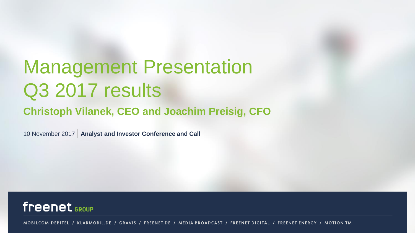# Management Presentation Q3 2017 results

### **Christoph Vilanek, CEO and Joachim Preisig, CFO**

10 November 2017 | **Analyst and Investor Conference and Call**



MOBILCOM-DEBITEL / KLARMOBIL.DE / GRAVIS / FREENET.DE / MEDIA BROADCAST / FREENET DIGITAL / FREENET ENERGY / MOTION TM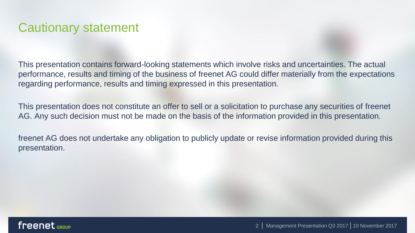### Cautionary statement

This presentation contains forward-looking statements which involve risks and uncertainties. The actual performance, results and timing of the business of freenet AG could differ materially from the expectations regarding performance, results and timing expressed in this presentation.

This presentation does not constitute an offer to sell or a solicitation to purchase any securities of freenet AG. Any such decision must not be made on the basis of the information provided in this presentation.

freenet AG does not undertake any obligation to publicly update or revise information provided during this presentation.

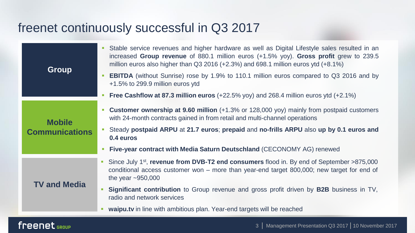### freenet continuously successful in Q3 2017

|                       | Stable service revenues and higher hardware as well as Digital Lifestyle sales resulted in an<br>increased Group revenue of 880.1 million euros (+1.5% yoy). Gross profit grew to 239.5<br>million euros also higher than Q3 2016 (+2.3%) and 698.1 million euros ytd $(+8.1\%)$ |
|-----------------------|----------------------------------------------------------------------------------------------------------------------------------------------------------------------------------------------------------------------------------------------------------------------------------|
| <b>Group</b>          | <b>EBITDA</b> (without Sunrise) rose by 1.9% to 110.1 million euros compared to Q3 2016 and by<br>+1.5% to 299.9 million euros ytd                                                                                                                                               |
|                       | Free Cashflow at 87.3 million euros $(+22.5\%$ yoy) and 268.4 million euros ytd $(+2.1\%)$                                                                                                                                                                                       |
| <b>Mobile</b>         | <b>Customer ownership at 9.60 million</b> (+1.3% or 128,000 yoy) mainly from postpaid customers<br>with 24-month contracts gained in from retail and multi-channel operations                                                                                                    |
| <b>Communications</b> | Steady postpaid ARPU at 21.7 euros; prepaid and no-frills ARPU also up by 0.1 euros and<br>0.4 euros                                                                                                                                                                             |
|                       | Five-year contract with Media Saturn Deutschland (CECONOMY AG) renewed                                                                                                                                                                                                           |
|                       | Since July 1 <sup>st</sup> , revenue from DVB-T2 end consumers flood in. By end of September >875,000<br>conditional access customer won – more than year-end target 800,000; new target for end of<br>the year $\sim$ 950,000                                                   |
| <b>TV and Media</b>   | <b>Significant contribution</b> to Group revenue and gross profit driven by <b>B2B</b> business in TV,<br>radio and network services                                                                                                                                             |
|                       | waipu.tv in line with ambitious plan. Year-end targets will be reached                                                                                                                                                                                                           |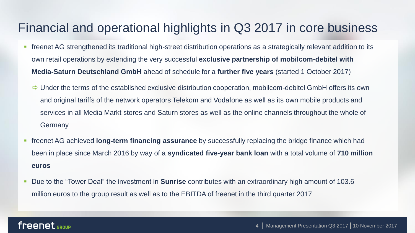### Financial and operational highlights in Q3 2017 in core business

- **•** freenet AG strengthened its traditional high-street distribution operations as a strategically relevant addition to its own retail operations by extending the very successful **exclusive partnership of mobilcom-debitel with Media-Saturn Deutschland GmbH** ahead of schedule for a **further five years** (started 1 October 2017)
	- $\Rightarrow$  Under the terms of the established exclusive distribution cooperation, mobilcom-debitel GmbH offers its own and original tariffs of the network operators Telekom and Vodafone as well as its own mobile products and services in all Media Markt stores and Saturn stores as well as the online channels throughout the whole of Germany
- freenet AG achieved **long-term financing assurance** by successfully replacing the bridge finance which had been in place since March 2016 by way of a **syndicated five-year bank loan** with a total volume of **710 million euros**
- Due to the "Tower Deal" the investment in **Sunrise** contributes with an extraordinary high amount of 103.6 million euros to the group result as well as to the EBITDA of freenet in the third quarter 2017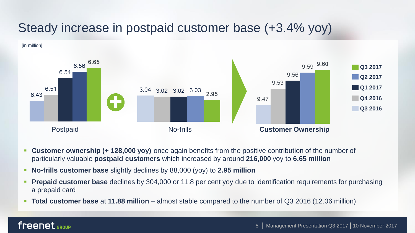### Steady increase in postpaid customer base (+3.4% yoy)



- **Customer ownership (+ 128,000 yoy)** once again benefits from the positive contribution of the number of particularly valuable **postpaid customers** which increased by around **216,000** yoy to **6.65 million**
- **No-frills customer base** slightly declines by 88,000 (yoy) to 2.95 million
- **Prepaid customer base** declines by 304,000 or 11.8 per cent yoy due to identification requirements for purchasing a prepaid card
- **Total customer base** at **11.88 million** almost stable compared to the number of Q3 2016 (12.06 million)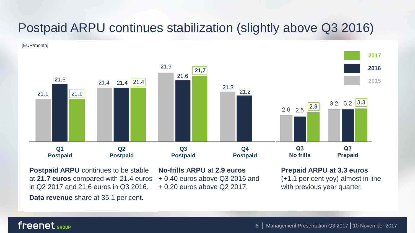### Postpaid ARPU continues stabilization (slightly above Q3 2016)





**Postpaid ARPU** continues to be stable at **21.7 euros** compared with 21.4 euros in Q2 2017 and 21.6 euros in Q3 2016.

**Data revenue** share at 35.1 per cent.

**No-frills ARPU** at **2.9 euros**

+ 0.40 euros above Q3 2016 and

+ 0.20 euros above Q2 2017.

#### **Prepaid ARPU at 3.3 euros**

(+1.1 per cent yoy) almost in line with previous year quarter.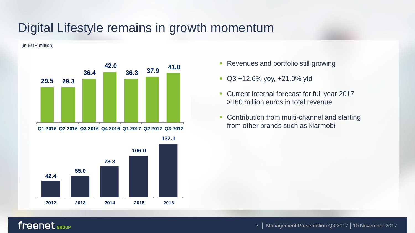### Digital Lifestyle remains in growth momentum

[in EUR million]



- Revenues and portfolio still growing
- Q3 +12.6% yoy, +21.0% ytd
- Current internal forecast for full year 2017 >160 million euros in total revenue
- Contribution from multi-channel and starting from other brands such as klarmobil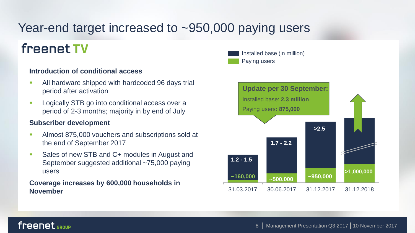### Year-end target increased to ~950,000 paying users

## freenet TV

#### **Introduction of conditional access**

- **EXECUTE:** All hardware shipped with hardcoded 96 days trial period after activation
- **EXECUTE:** Logically STB go into conditional access over a period of 2-3 months; majority in by end of July

#### **Subscriber development**

- **EXECUTE:** Almost 875,000 vouchers and subscriptions sold at the end of September 2017
- Sales of new STB and C+ modules in August and September suggested additional ~75,000 paying users

## **Coverage increases by 600,000 households in**

Paying users Installed base (in million)

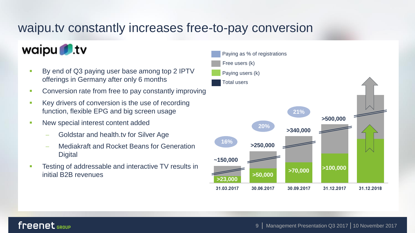### waipu.tv constantly increases free-to-pay conversion

### waipu tv

- By end of Q3 paying user base among top 2 IPTV offerings in Germany after only 6 months
- **Conversion rate from free to pay constantly improving**
- Key drivers of conversion is the use of recording function, flexible EPG and big screen usage
- **EXECUTE:** New special interest content added
	- Goldstar and health.tv for Silver Age
	- Mediakraft and Rocket Beans for Generation **Digital**
- Testing of addressable and interactive TV results in initial B2B revenues

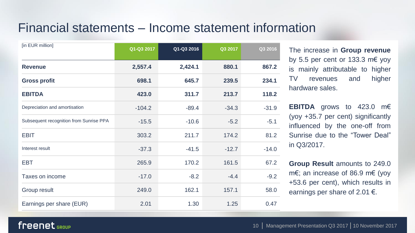### Financial statements – Income statement information

| [in EUR million]                        | Q1-Q3 2017 | Q1-Q3 2016 | Q3 2017 | Q3 2016 |
|-----------------------------------------|------------|------------|---------|---------|
| <b>Revenue</b>                          | 2,557.4    | 2,424.1    | 880.1   | 867.2   |
| <b>Gross profit</b>                     | 698.1      | 645.7      | 239.5   | 234.1   |
| <b>EBITDA</b>                           | 423.0      | 311.7      | 213.7   | 118.2   |
| Depreciation and amortisation           | $-104.2$   | $-89.4$    | $-34.3$ | $-31.9$ |
| Subsequent recognition from Sunrise PPA | $-15.5$    | $-10.6$    | $-5.2$  | $-5.1$  |
| EBIT                                    | 303.2      | 211.7      | 174.2   | 81.2    |
| Interest result                         | $-37.3$    | $-41.5$    | $-12.7$ | $-14.0$ |
| <b>EBT</b>                              | 265.9      | 170.2      | 161.5   | 67.2    |
| Taxes on income                         | $-17.0$    | $-8.2$     | $-4.4$  | $-9.2$  |
| Group result                            | 249.0      | 162.1      | 157.1   | 58.0    |
| Earnings per share (EUR)                | 2.01       | 1.30       | 1.25    | 0.47    |

The increase in **Group revenue** by 5.5 per cent or 133.3 m€ yoy is mainly attributable to higher TV revenues and higher hardware sales.

**EBITDA** grows to 423.0 m€ (yoy +35.7 per cent) significantly influenced by the one-off from Sunrise due to the "Tower Deal" in Q3/2017.

**Group Result** amounts to 249.0 m€; an increase of 86.9 m€ (yoy +53.6 per cent), which results in earnings per share of 2.01  $\epsilon$ .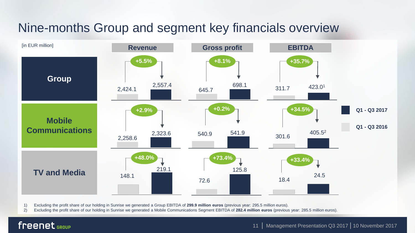## Nine-months Group and segment key financials overview



1) Excluding the profit share of our holding in Sunrise we generated a Group EBITDA of **299.9 million euros** (previous year: 295.5 million euros).

2) Excluding the profit share of our holding in Sunrise we generated a Mobile Communications Segment EBITDA of **282.4 million euros** (previous year: 285.5 million euros).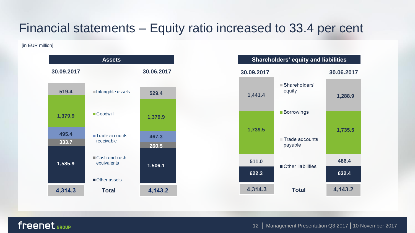### Financial statements – Equity ratio increased to 33.4 per cent

[in EUR million]



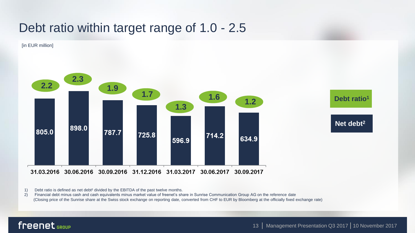### Debt ratio within target range of 1.0 - 2.5

[in EUR million]



1) Debt ratio is defined as net debt² divided by the EBITDA of the past twelve months.

2) Financial debt minus cash and cash equivalents minus market value of freenet's share in Sunrise Communication Group AG on the reference date (Closing price of the Sunrise share at the Swiss stock exchange on reporting date, converted from CHF to EUR by Bloomberg at the officially fixed exchange rate)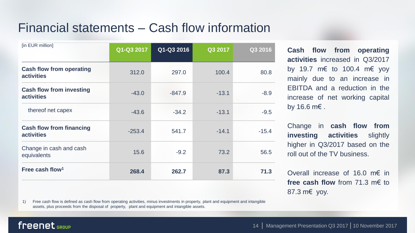### Financial statements – Cash flow information

| Q1-Q3 2017 | Q1-Q3 2016 | Q3 2017 | Q3 2016 |
|------------|------------|---------|---------|
| 312.0      | 297.0      | 100.4   | 80.8    |
| $-43.0$    | $-847.9$   | $-13.1$ | $-8.9$  |
| $-43.6$    | $-34.2$    | $-13.1$ | $-9.5$  |
| $-253.4$   | 541.7      | $-14.1$ | $-15.4$ |
| 15.6       | $-9.2$     | 73.2    | 56.5    |
| 268.4      | 262.7      | 87.3    | 71.3    |
|            |            |         |         |

**Cash flow from operating activities** increased in Q3/2017 by 19.7 m€ to 100.4 m€ yoy mainly due to an increase in EBITDA and a reduction in the increase of net working capital by 16.6 m€ .

Change in **cash flow from investing activities** slightly higher in Q3/2017 based on the roll out of the TV business.

Overall increase of 16.0 m€ in **free cash flow** from 71.3 m€ to 87.3 m€ yoy.

1) Free cash flow is defined as cash flow from operating activities, minus investments in property, plant and equipment and intangible assets, plus proceeds from the disposal of property, plant and equipment and intangible assets.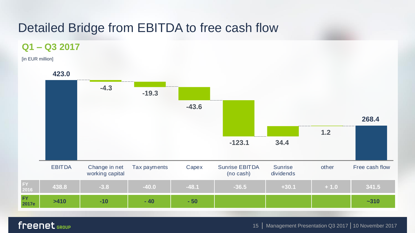### Detailed Bridge from EBITDA to free cash flow

#### **Q1 – Q3 2017**

[in EUR million]

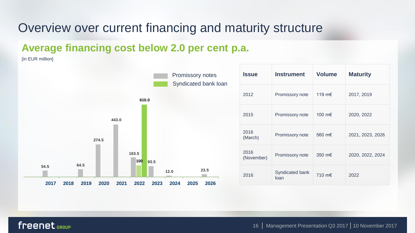### Overview over current financing and maturity structure

### **Average financing cost below 2.0 per cent p.a.**

[in EUR million]



| <b>Issue</b>       | <b>Instrument</b>       | <b>Volume</b> | <b>Maturity</b>  |  |
|--------------------|-------------------------|---------------|------------------|--|
| 2012               | Promissory note         | 119 m€        | 2017, 2019       |  |
| 2015               | Promissory note         | 100 m€        | 2020, 2022       |  |
| 2016<br>(March)    | Promissory note         | 560 m€        | 2021, 2023, 2026 |  |
| 2016<br>(November) | Promissory note         | 350 m€        | 2020, 2022, 2024 |  |
| 2016               | Syndicated bank<br>loan | 710 m€        | 2022             |  |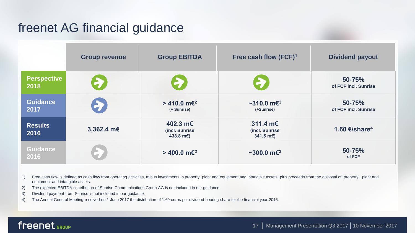### freenet AG financial guidance

|                            | <b>Group revenue</b> | <b>Group EBITDA</b>                      | Free cash flow (FCF) <sup>1</sup>                 | <b>Dividend payout</b>         |
|----------------------------|----------------------|------------------------------------------|---------------------------------------------------|--------------------------------|
| <b>Perspective</b><br>2018 | 27                   | E                                        | P.                                                | 50-75%<br>of FCF incl. Sunrise |
| <b>Guidance</b><br>2017    |                      | $>$ 410.0 m€ <sup>2</sup><br>(+ Sunrise) | $~2$ 10.0 m $\epsilon$ <sup>3</sup><br>(+Sunrise) | 50-75%<br>of FCF incl. Sunrise |
| <b>Results</b><br>2016     | 3,362.4 m€           | 402.3 m€<br>(incl. Sunrise<br>438.8 m€)  | 311.4 m€<br>(incl. Sunrise<br>341.5 $m \in$ )     | 1.60 €/share <sup>4</sup>      |
| <b>Guidance</b><br>2016    |                      | > 400.0 m€ <sup>2</sup>                  | $~100.0~\mathrm{m}$ $\epsilon$ <sup>3</sup>       | 50-75%<br>of FCF               |

1) Free cash flow is defined as cash flow from operating activities, minus investments in property, plant and equipment and intangible assets, plus proceeds from the disposal of property, plant and equipment and intangible assets.

2) The expected EBITDA contribution of Sunrise Communications Group AG is not included in our guidance.

3) Dividend payment from Sunrise is not included in our guidance.

4) The Annual General Meeting resolved on 1 June 2017 the distribution of 1.60 euros per dividend-bearing share for the financial year 2016.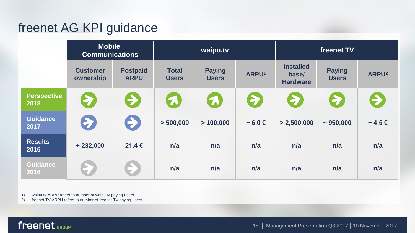### freenet AG KPI guidance

|                            | <b>Mobile</b><br><b>Communications</b> |                                | waipu.tv                     |                               | freenet TV        |                                              |                                     |                   |
|----------------------------|----------------------------------------|--------------------------------|------------------------------|-------------------------------|-------------------|----------------------------------------------|-------------------------------------|-------------------|
|                            | <b>Customer</b><br>ownership           | <b>Postpaid</b><br><b>ARPU</b> | <b>Total</b><br><b>Users</b> | <b>Paying</b><br><b>Users</b> | ARPU <sup>1</sup> | <b>Installed</b><br>base/<br><b>Hardware</b> | <b>Paying</b><br><b>Users</b>       | ARPU <sup>2</sup> |
| <b>Perspective</b><br>2018 | <b>P</b>                               | $\bigoplus$                    | 5                            | $\Omega$                      | 2                 | 2                                            | $\left( \sum_{i=1}^{n} a_i \right)$ | $\bigoplus$       |
| <b>Guidance</b><br>2017    | E                                      | $\bullet$                      | > 500,000                    | >100,000                      | $\sim 6.0 \in$    | > 2,500,000                                  | $~1$ 950,000                        | $\sim$ 4.5 €      |
| <b>Results</b><br>2016     | $+232,000$                             | 21.4€                          | n/a                          | n/a                           | n/a               | n/a                                          | n/a                                 | n/a               |
| Guidance<br>2016           |                                        |                                | n/a                          | n/a                           | n/a               | n/a                                          | n/a                                 | n/a               |

1) waipu.tv ARPU refers to number of waipu.tv paying users.

2) freenet TV ARPU refers to number of freenet TV paying users.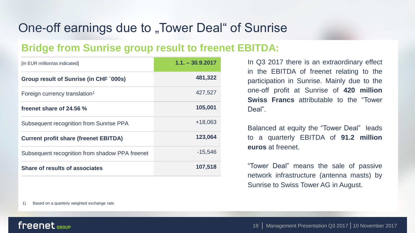### One-off earnings due to "Tower Deal" of Sunrise

### **Bridge from Sunrise group result to freenet EBITDA:**

| [in EUR million/as indicated]                  | $1.1 - 30.9.2017$ |
|------------------------------------------------|-------------------|
| Group result of Sunrise (in CHF `000s)         | 481,322           |
| Foreign currency translation <sup>1</sup>      | 427,527           |
| freenet share of 24.56 %                       | 105,001           |
| Subsequent recognition from Sunrise PPA        | +18.063           |
| <b>Current profit share (freenet EBITDA)</b>   | 123,064           |
| Subsequent recognition from shadow PPA freenet | -15,546           |
| Share of results of associates                 | 107,518           |

In Q3 2017 there is an extraordinary effect in the EBITDA of freenet relating to the participation in Sunrise. Mainly due to the one-off profit at Sunrise of **420 million Swiss Francs** attributable to the "Tower Deal".

Balanced at equity the "Tower Deal" leads to a quarterly EBITDA of **91.2 million euros** at freenet.

"Tower Deal" means the sale of passive network infrastructure (antenna masts) by Sunrise to Swiss Tower AG in August.

1) Based on a quarterly weighted exchange rate.